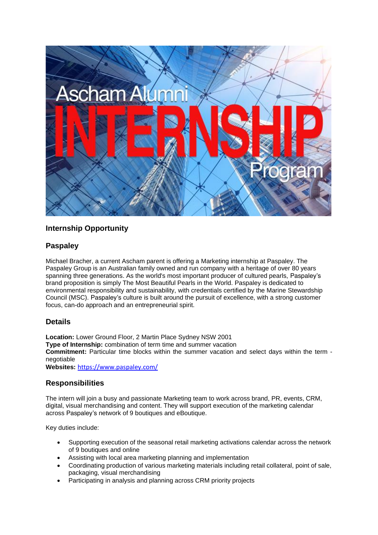

# **Internship Opportunity**

## **Paspaley**

Michael Bracher, a current Ascham parent is offering a Marketing internship at Paspaley. The Paspaley Group is an Australian family owned and run company with a heritage of over 80 years spanning three generations. As the world's most important producer of cultured pearls, Paspaley's brand proposition is simply *The Most Beautiful Pearls in the World*. Paspaley is dedicated to environmental responsibility and sustainability, with credentials certified by the Marine Stewardship Council (MSC). Paspaley's culture is built around the pursuit of excellence, with a strong customer focus, can-do approach and an entrepreneurial spirit.

### **Details**

**Location:** Lower Ground Floor, 2 Martin Place Sydney NSW 2001 **Type of Internship:** combination of term time and summer vacation **Commitment:** Particular time blocks within the summer vacation and select days within the term negotiable **Websites:** <https://www.paspaley.com/>

### **Responsibilities**

The intern will join a busy and passionate Marketing team to work across brand, PR, events, CRM, digital, visual merchandising and content. They will support execution of the marketing calendar across Paspaley's network of 9 boutiques and eBoutique.

Key duties include:

- Supporting execution of the seasonal retail marketing activations calendar across the network of 9 boutiques and online
- Assisting with local area marketing planning and implementation
- Coordinating production of various marketing materials including retail collateral, point of sale, packaging, visual merchandising
- Participating in analysis and planning across CRM priority projects